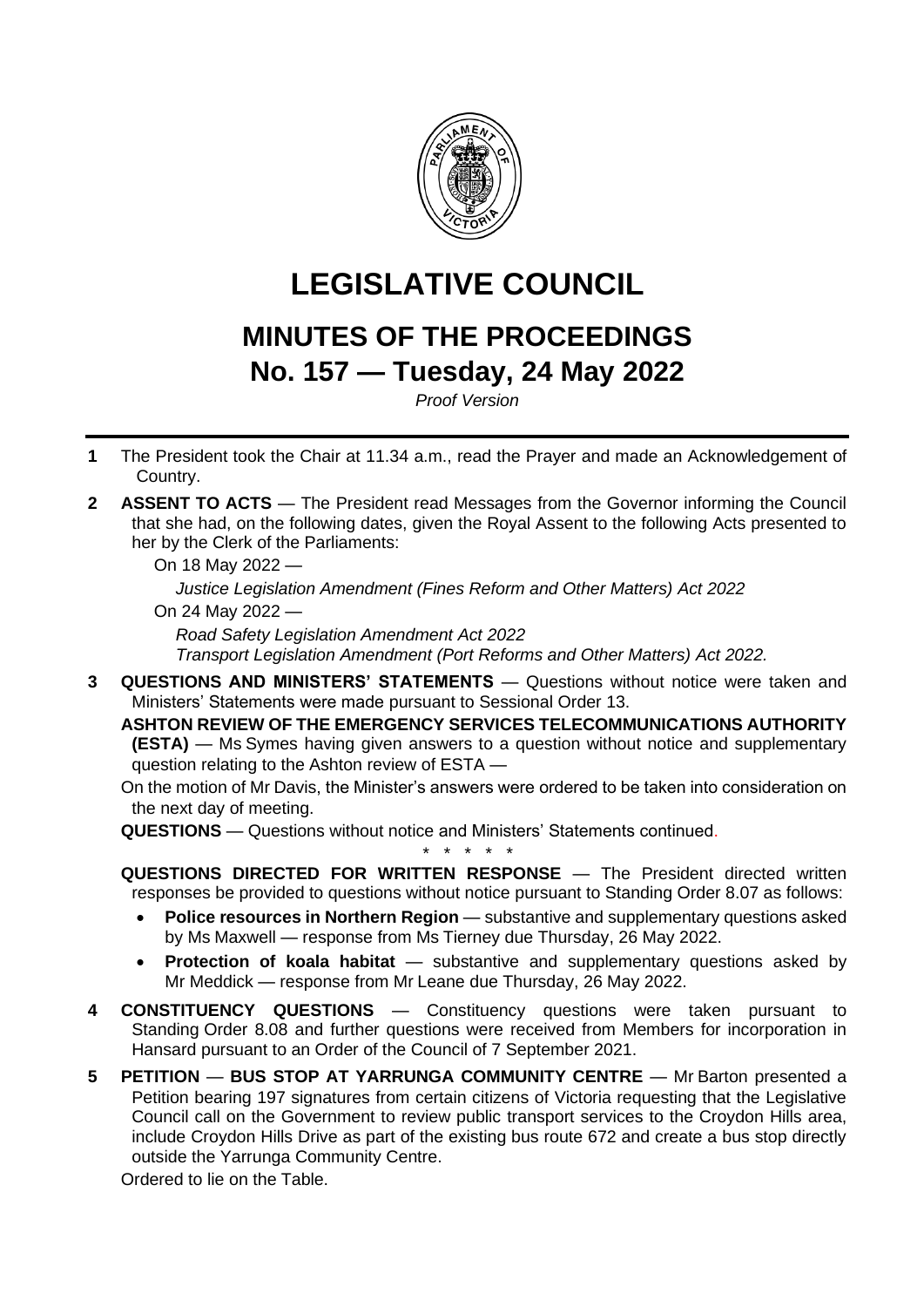

# **LEGISLATIVE COUNCIL**

## **MINUTES OF THE PROCEEDINGS No. 157 — Tuesday, 24 May 2022**

*Proof Version*

- **1** The President took the Chair at 11.34 a.m., read the Prayer and made an Acknowledgement of Country.
- **2 ASSENT TO ACTS** The President read Messages from the Governor informing the Council that she had, on the following dates, given the Royal Assent to the following Acts presented to her by the Clerk of the Parliaments:

On 18 May 2022 —

*Justice Legislation Amendment (Fines Reform and Other Matters) Act 2022*

On 24 May 2022 —

*Road Safety Legislation Amendment Act 2022*

*Transport Legislation Amendment (Port Reforms and Other Matters) Act 2022.*

**3 QUESTIONS AND MINISTERS' STATEMENTS** — Questions without notice were taken and Ministers' Statements were made pursuant to Sessional Order 13.

**ASHTON REVIEW OF THE EMERGENCY SERVICES TELECOMMUNICATIONS AUTHORITY (ESTA)** — Ms Symes having given answers to a question without notice and supplementary question relating to the Ashton review of ESTA —

On the motion of Mr Davis, the Minister's answers were ordered to be taken into consideration on the next day of meeting.

**QUESTIONS** — Questions without notice and Ministers' Statements continued.

**QUESTIONS DIRECTED FOR WRITTEN RESPONSE** — The President directed written responses be provided to questions without notice pursuant to Standing Order 8.07 as follows:

*\* \* \* \* \**

- **Police resources in Northern Region** substantive and supplementary questions asked by Ms Maxwell — response from Ms Tierney due Thursday, 26 May 2022.
- **Protection of koala habitat** substantive and supplementary questions asked by Mr Meddick — response from Mr Leane due Thursday, 26 May 2022.
- **4 CONSTITUENCY QUESTIONS** Constituency questions were taken pursuant to Standing Order 8.08 and further questions were received from Members for incorporation in Hansard pursuant to an Order of the Council of 7 September 2021.
- **5 PETITION BUS STOP AT YARRUNGA COMMUNITY CENTRE** Mr Barton presented a Petition bearing 197 signatures from certain citizens of Victoria requesting that the Legislative Council call on the Government to review public transport services to the Croydon Hills area, include Croydon Hills Drive as part of the existing bus route 672 and create a bus stop directly outside the Yarrunga Community Centre.

Ordered to lie on the Table.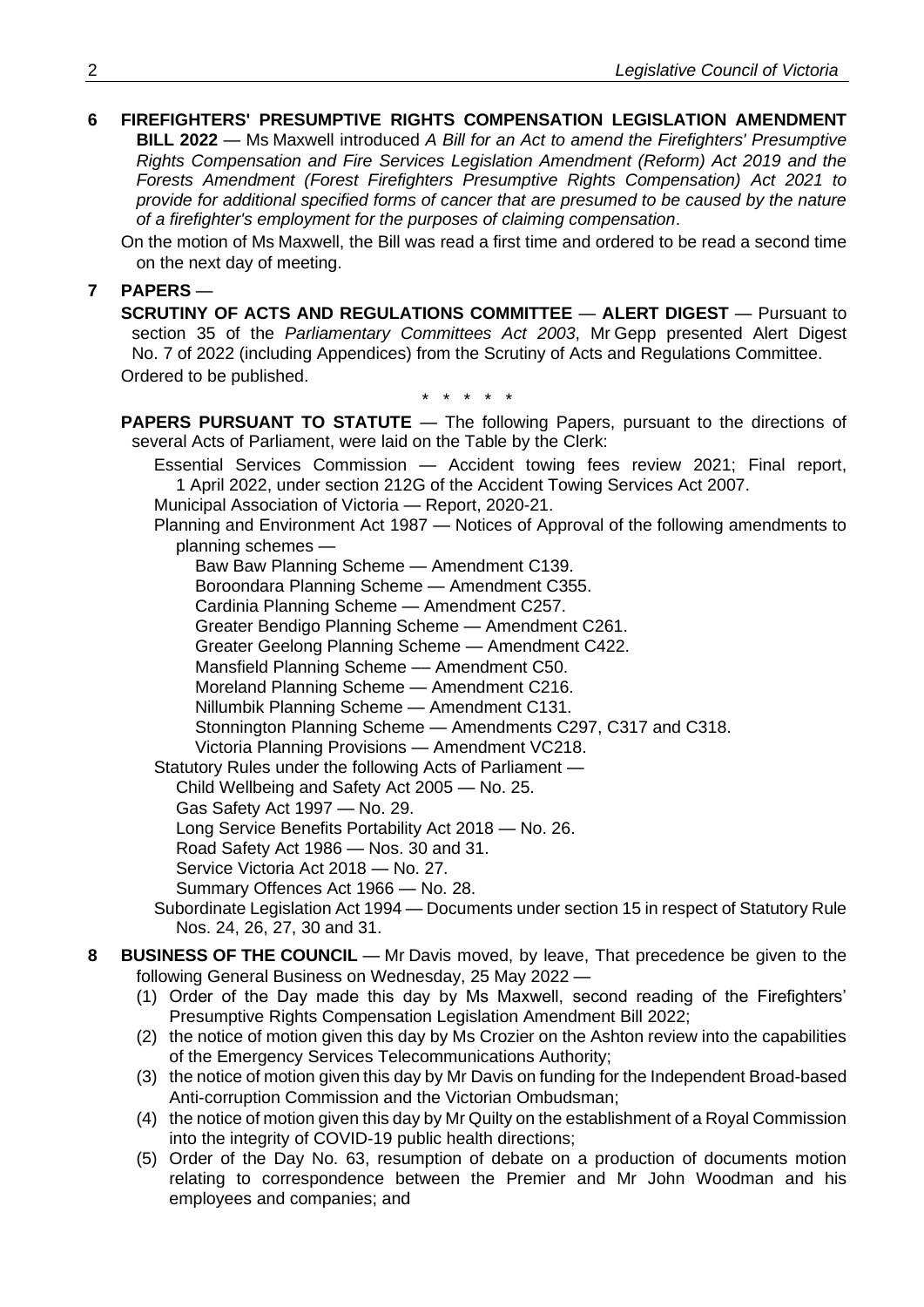## **6 FIREFIGHTERS' PRESUMPTIVE RIGHTS COMPENSATION LEGISLATION AMENDMENT**

**BILL 2022** — Ms Maxwell introduced *A Bill for an Act to amend the Firefighters' Presumptive Rights Compensation and Fire Services Legislation Amendment (Reform) Act 2019 and the Forests Amendment (Forest Firefighters Presumptive Rights Compensation) Act 2021 to provide for additional specified forms of cancer that are presumed to be caused by the nature of a firefighter's employment for the purposes of claiming compensation*.

On the motion of Ms Maxwell, the Bill was read a first time and ordered to be read a second time on the next day of meeting.

### **7 PAPERS** —

**SCRUTINY OF ACTS AND REGULATIONS COMMITTEE** — **ALERT DIGEST** — Pursuant to section 35 of the *Parliamentary Committees Act 2003*, Mr Gepp presented Alert Digest No. 7 of 2022 (including Appendices) from the Scrutiny of Acts and Regulations Committee. Ordered to be published.

\* \* \* \* \*

**PAPERS PURSUANT TO STATUTE** — The following Papers, pursuant to the directions of several Acts of Parliament, were laid on the Table by the Clerk:

Essential Services Commission — Accident towing fees review 2021; Final report, 1 April 2022, under section 212G of the Accident Towing Services Act 2007.

Municipal Association of Victoria — Report, 2020-21.

Planning and Environment Act 1987 — Notices of Approval of the following amendments to planning schemes —

Baw Baw Planning Scheme — Amendment C139.

Boroondara Planning Scheme — Amendment C355.

Cardinia Planning Scheme — Amendment C257.

Greater Bendigo Planning Scheme — Amendment C261.

Greater Geelong Planning Scheme — Amendment C422.

Mansfield Planning Scheme - Amendment C50.

Moreland Planning Scheme — Amendment C216.

Nillumbik Planning Scheme — Amendment C131.

Stonnington Planning Scheme — Amendments C297, C317 and C318.

Victoria Planning Provisions — Amendment VC218.

Statutory Rules under the following Acts of Parliament —

Child Wellbeing and Safety Act 2005 — No. 25.

Gas Safety Act 1997 — No. 29.

Long Service Benefits Portability Act 2018 — No. 26.

Road Safety Act 1986 — Nos. 30 and 31.

Service Victoria Act 2018 — No. 27.

Summary Offences Act 1966 — No. 28.

Subordinate Legislation Act 1994 — Documents under section 15 in respect of Statutory Rule Nos. 24, 26, 27, 30 and 31.

#### **8 BUSINESS OF THE COUNCIL** — Mr Davis moved, by leave, That precedence be given to the following General Business on Wednesday, 25 May 2022 —

- (1) Order of the Day made this day by Ms Maxwell, second reading of the Firefighters' Presumptive Rights Compensation Legislation Amendment Bill 2022;
- (2) the notice of motion given this day by Ms Crozier on the Ashton review into the capabilities of the Emergency Services Telecommunications Authority;
- (3) the notice of motion given this day by Mr Davis on funding for the Independent Broad-based Anti-corruption Commission and the Victorian Ombudsman;
- (4) the notice of motion given this day by Mr Quilty on the establishment of a Royal Commission into the integrity of COVID-19 public health directions;
- (5) Order of the Day No. 63, resumption of debate on a production of documents motion relating to correspondence between the Premier and Mr John Woodman and his employees and companies; and